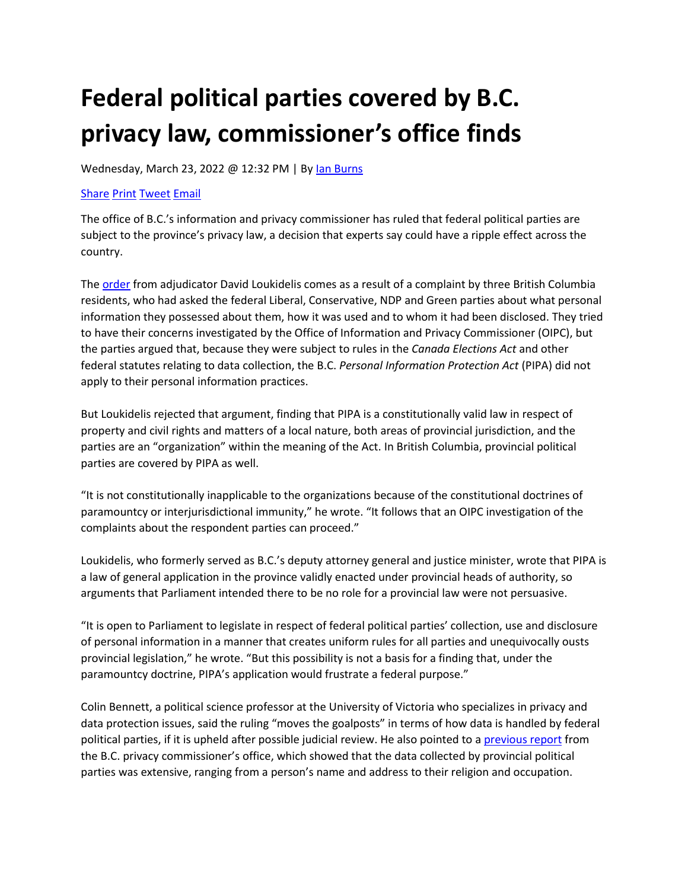## **Federal political parties covered by B.C. privacy law, commissioner's office finds**

Wednesday, March 23, 2022 @ 12:32 PM | By [Ian Burns](https://www.thelawyersdaily.ca/search/articles?q=reporter:%22Ian%20Burns%22) 

## [Share](http://www.linkedin.com/shareArticle?mini=true&url=https://www.thelawyersdaily.ca/it/articles/34748&summary=The+office+of+B.C.%E2%80%99s+information+and+privacy+commissioner+has+ruled+that+federal+political+parties+are+subject+to+the+province%E2%80%99s+privacy+law%2C+a+decision+that+experts+say+could+have+a+ripple+effect+across+the+country.&title=Federal+political+parties+covered+by+B.C.+privacy+law%2C+commissioner%E2%80%99s+office+finds&source=TheLawyersDaily) [Print](https://www.thelawyersdaily.ca/articles/34748/print?section=it) [Tweet](http://twitter.com/share?text=Federal+political+parties+covered+by+B.C.+privacy+law%2C+commissioner%E2%80%99s+office+finds&url=https://www.thelawyersdaily.ca/it/articles/34748) [Email](https://www.thelawyersdaily.ca/articles/34748/share?section=it)

The office of B.C.'s information and privacy commissioner has ruled that federal political parties are subject to the province's privacy law, a decision that experts say could have a ripple effect across the country.

The [order](https://s3.amazonaws.com/tld-documents.llnassets.com/0034000/34748/order%20p22-02.pdf) from adjudicator David Loukidelis comes as a result of a complaint by three British Columbia residents, who had asked the federal Liberal, Conservative, NDP and Green parties about what personal information they possessed about them, how it was used and to whom it had been disclosed. They tried to have their concerns investigated by the Office of Information and Privacy Commissioner (OIPC), but the parties argued that, because they were subject to rules in the *Canada Elections Act* and other federal statutes relating to data collection, the B.C. *Personal Information Protection Act* (PIPA) did not apply to their personal information practices.

But Loukidelis rejected that argument, finding that PIPA is a constitutionally valid law in respect of property and civil rights and matters of a local nature, both areas of provincial jurisdiction, and the parties are an "organization" within the meaning of the Act. In British Columbia, provincial political parties are covered by PIPA as well.

"It is not constitutionally inapplicable to the organizations because of the constitutional doctrines of paramountcy or interjurisdictional immunity," he wrote. "It follows that an OIPC investigation of the complaints about the respondent parties can proceed."

Loukidelis, who formerly served as B.C.'s deputy attorney general and justice minister, wrote that PIPA is a law of general application in the province validly enacted under provincial heads of authority, so arguments that Parliament intended there to be no role for a provincial law were not persuasive.

"It is open to Parliament to legislate in respect of federal political parties' collection, use and disclosure of personal information in a manner that creates uniform rules for all parties and unequivocally ousts provincial legislation," he wrote. "But this possibility is not a basis for a finding that, under the paramountcy doctrine, PIPA's application would frustrate a federal purpose."

Colin Bennett, a political science professor at the University of Victoria who specializes in privacy and data protection issues, said the ruling "moves the goalposts" in terms of how data is handled by federal political parties, if it is upheld after possible judicial review. He also pointed to [a previous report](https://s3.amazonaws.com/tld-documents.llnassets.com/0034000/34748/ir%20p19-01%20-%20political%20parties%20investigation%20-%20final.pdf) from the B.C. privacy commissioner's office, which showed that the data collected by provincial political parties was extensive, ranging from a person's name and address to their religion and occupation.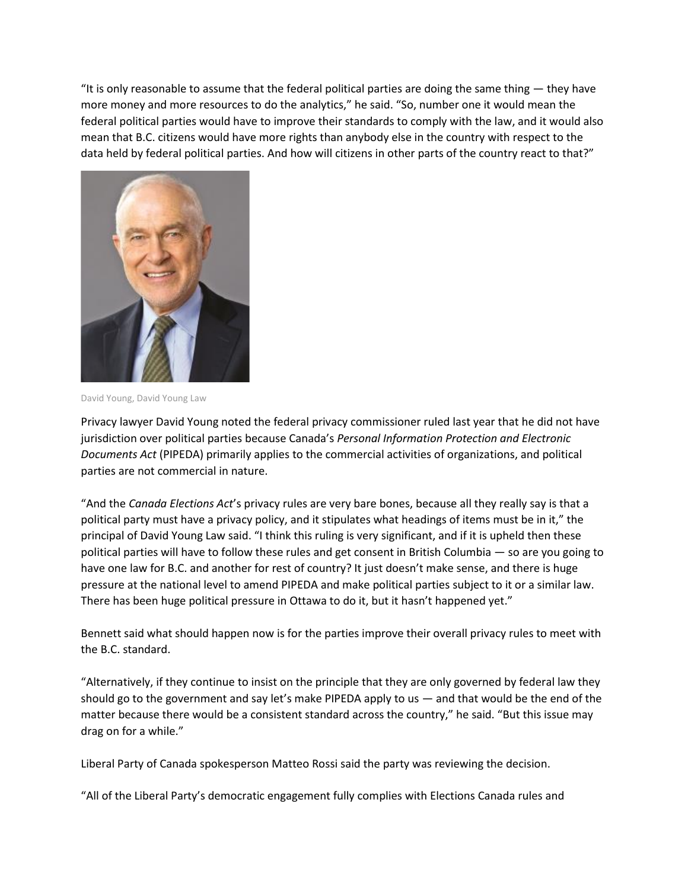"It is only reasonable to assume that the federal political parties are doing the same thing  $-$  they have more money and more resources to do the analytics," he said. "So, number one it would mean the federal political parties would have to improve their standards to comply with the law, and it would also mean that B.C. citizens would have more rights than anybody else in the country with respect to the data held by federal political parties. And how will citizens in other parts of the country react to that?"



David Young, David Young Law

Privacy lawyer David Young noted the federal privacy commissioner ruled last year that he did not have jurisdiction over political parties because Canada's *Personal Information Protection and Electronic Documents Act* (PIPEDA) primarily applies to the commercial activities of organizations, and political parties are not commercial in nature.

"And the *Canada Elections Act*'s privacy rules are very bare bones, because all they really say is that a political party must have a privacy policy, and it stipulates what headings of items must be in it," the principal of David Young Law said. "I think this ruling is very significant, and if it is upheld then these political parties will have to follow these rules and get consent in British Columbia — so are you going to have one law for B.C. and another for rest of country? It just doesn't make sense, and there is huge pressure at the national level to amend PIPEDA and make political parties subject to it or a similar law. There has been huge political pressure in Ottawa to do it, but it hasn't happened yet."

Bennett said what should happen now is for the parties improve their overall privacy rules to meet with the B.C. standard.

"Alternatively, if they continue to insist on the principle that they are only governed by federal law they should go to the government and say let's make PIPEDA apply to us  $-$  and that would be the end of the matter because there would be a consistent standard across the country," he said. "But this issue may drag on for a while."

Liberal Party of Canada spokesperson Matteo Rossi said the party was reviewing the decision.

"All of the Liberal Party's democratic engagement fully complies with Elections Canada rules and